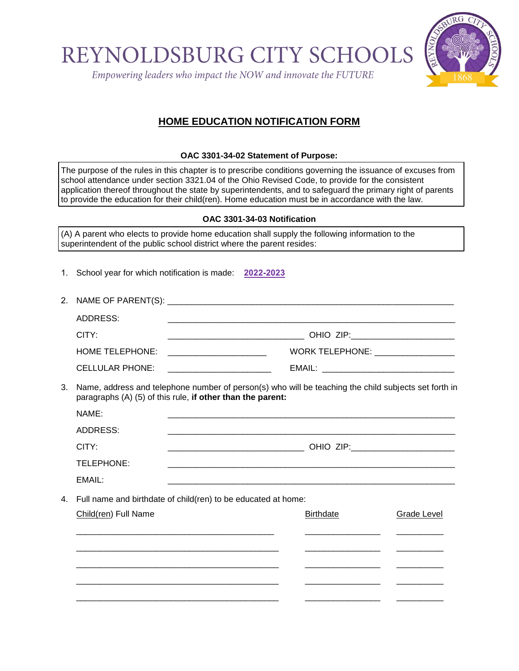REYNOLDSBURG CITY SCHOOI

Empowering leaders who impact the NOW and innovate the FUTURE



## **HOME EDUCATION NOTIFICATION FORM**

### **OAC 3301-34-02 Statement of Purpose:**

The purpose of the rules in this chapter is to prescribe conditions governing the issuance of excuses from school attendance under section 3321.04 of the Ohio Revised Code, to provide for the consistent application thereof throughout the state by superintendents, and to safeguard the primary right of parents to provide the education for their child(ren). Home education must be in accordance with the law.

### **OAC 3301-34-03 Notification**

(A) A parent who elects to provide home education shall supply the following information to the superintendent of the public school district where the parent resides:

1. School year for which notification is made: **2022-2023**

| ADDRESS:               |                                |
|------------------------|--------------------------------|
| CITY:                  |                                |
| HOME TELEPHONE:        | WORK TELEPHONE: WORK TELEPHONE |
| <b>CELLULAR PHONE:</b> | EMAIL:                         |

3. Name, address and telephone number of person(s) who will be teaching the child subjects set forth in paragraphs (A) (5) of this rule, **if other than the parent:**

| NAME:      |           |
|------------|-----------|
| ADDRESS:   |           |
| CITY:      | OHIO ZIP: |
| TELEPHONE: |           |
| EMAIL:     |           |

4. Full name and birthdate of child(ren) to be educated at home:

| Child(ren) Full Name | <b>Birthdate</b> | <b>Grade Level</b> |
|----------------------|------------------|--------------------|
|                      |                  |                    |
|                      |                  |                    |
|                      |                  |                    |
|                      |                  |                    |
|                      |                  |                    |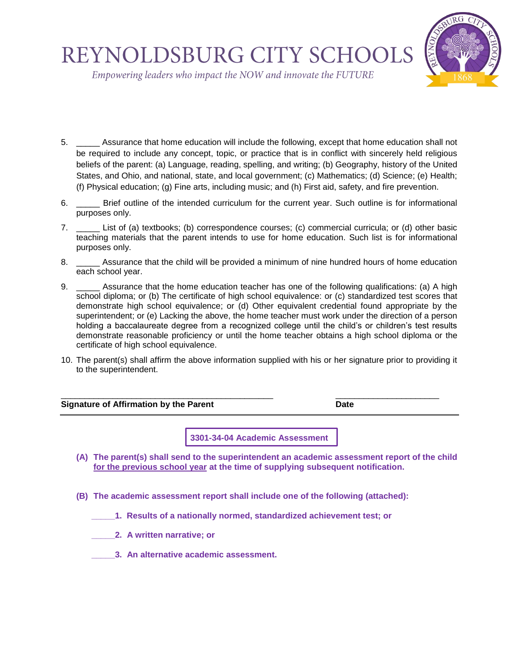# REYNOLDSBURG CITY SCHOOL



Empowering leaders who impact the NOW and innovate the FUTURE

- 5. \_\_\_\_\_ Assurance that home education will include the following, except that home education shall not be required to include any concept, topic, or practice that is in conflict with sincerely held religious beliefs of the parent: (a) Language, reading, spelling, and writing; (b) Geography, history of the United States, and Ohio, and national, state, and local government; (c) Mathematics; (d) Science; (e) Health; (f) Physical education; (g) Fine arts, including music; and (h) First aid, safety, and fire prevention.
- 6. **EXECUTE:** Brief outline of the intended curriculum for the current year. Such outline is for informational purposes only.
- 7. \_\_\_\_\_ List of (a) textbooks; (b) correspondence courses; (c) commercial curricula; or (d) other basic teaching materials that the parent intends to use for home education. Such list is for informational purposes only.
- 8. Assurance that the child will be provided a minimum of nine hundred hours of home education each school year.
- 9. \_\_\_\_\_ Assurance that the home education teacher has one of the following qualifications: (a) A high school diploma; or (b) The certificate of high school equivalence: or (c) standardized test scores that demonstrate high school equivalence; or (d) Other equivalent credential found appropriate by the superintendent; or (e) Lacking the above, the home teacher must work under the direction of a person holding a baccalaureate degree from a recognized college until the child's or children's test results demonstrate reasonable proficiency or until the home teacher obtains a high school diploma or the certificate of high school equivalence.
- 10. The parent(s) shall affirm the above information supplied with his or her signature prior to providing it to the superintendent.

#### \_\_\_\_\_\_\_\_\_\_\_\_\_\_\_\_\_\_\_\_\_\_\_\_\_\_\_\_\_\_\_\_\_\_\_\_\_\_\_\_\_\_\_\_\_ \_\_\_\_\_\_\_\_\_\_\_\_\_\_\_\_\_\_\_\_\_\_ **Signature of Affirmation by the Parent Constant Constant Constant Constant Constant Constant Constant Constant Constant Constant Constant Constant Constant Constant Constant Constant Constant Constant Constant Constant**

**3301-34-04 Academic Assessment**

- **(A) The parent(s) shall send to the superintendent an academic assessment report of the child for the previous school year at the time of supplying subsequent notification.**
- **(B) The academic assessment report shall include one of the following (attached):**
	- **\_\_\_\_\_1. Results of a nationally normed, standardized achievement test; or**
	- **\_\_\_\_\_2. A written narrative; or**
	- **\_\_\_\_\_3. An alternative academic assessment.**